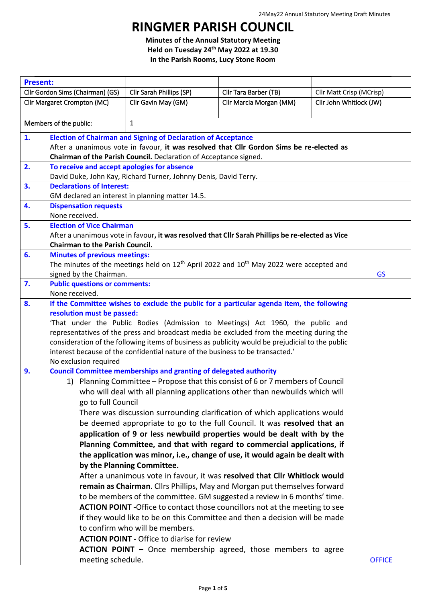## **RINGMER PARISH COUNCIL**

**Minutes of the Annual Statutory Meeting Held on Tuesday 24th May 2022 at 19.30 In the Parish Rooms, Lucy Stone Room**

| <b>Present:</b>                        |                                                                                                              |                                                                                                   |                         |                          |               |
|----------------------------------------|--------------------------------------------------------------------------------------------------------------|---------------------------------------------------------------------------------------------------|-------------------------|--------------------------|---------------|
| Cllr Gordon Sims (Chairman) (GS)       |                                                                                                              | Cllr Sarah Phillips (SP)                                                                          | Cllr Tara Barber (TB)   | Cllr Matt Crisp (MCrisp) |               |
| Cllr Margaret Crompton (MC)            |                                                                                                              | Cllr Gavin May (GM)                                                                               | Cllr Marcia Morgan (MM) | Cllr John Whitlock (JW)  |               |
|                                        |                                                                                                              |                                                                                                   |                         |                          |               |
| $\mathbf{1}$<br>Members of the public: |                                                                                                              |                                                                                                   |                         |                          |               |
| 1.                                     |                                                                                                              | <b>Election of Chairman and Signing of Declaration of Acceptance</b>                              |                         |                          |               |
|                                        |                                                                                                              | After a unanimous vote in favour, it was resolved that Cllr Gordon Sims be re-elected as          |                         |                          |               |
|                                        |                                                                                                              | Chairman of the Parish Council. Declaration of Acceptance signed.                                 |                         |                          |               |
| 2.                                     | To receive and accept apologies for absence                                                                  |                                                                                                   |                         |                          |               |
|                                        | David Duke, John Kay, Richard Turner, Johnny Denis, David Terry.                                             |                                                                                                   |                         |                          |               |
| 3.                                     | <b>Declarations of Interest:</b>                                                                             |                                                                                                   |                         |                          |               |
|                                        | GM declared an interest in planning matter 14.5.                                                             |                                                                                                   |                         |                          |               |
| 4.                                     | <b>Dispensation requests</b><br>None received.                                                               |                                                                                                   |                         |                          |               |
| 5.                                     | <b>Election of Vice Chairman</b>                                                                             |                                                                                                   |                         |                          |               |
|                                        |                                                                                                              | After a unanimous vote in favour, it was resolved that Cllr Sarah Phillips be re-elected as Vice  |                         |                          |               |
|                                        | <b>Chairman to the Parish Council.</b>                                                                       |                                                                                                   |                         |                          |               |
| 6.                                     | <b>Minutes of previous meetings:</b>                                                                         |                                                                                                   |                         |                          |               |
|                                        |                                                                                                              | The minutes of the meetings held on $12^{th}$ April 2022 and $10^{th}$ May 2022 were accepted and |                         |                          |               |
|                                        | signed by the Chairman.                                                                                      |                                                                                                   |                         |                          | <b>GS</b>     |
| 7.                                     | <b>Public questions or comments:</b>                                                                         |                                                                                                   |                         |                          |               |
|                                        | None received.                                                                                               |                                                                                                   |                         |                          |               |
| 8.                                     |                                                                                                              | If the Committee wishes to exclude the public for a particular agenda item, the following         |                         |                          |               |
|                                        | resolution must be passed:<br>'That under the Public Bodies (Admission to Meetings) Act 1960, the public and |                                                                                                   |                         |                          |               |
|                                        |                                                                                                              | representatives of the press and broadcast media be excluded from the meeting during the          |                         |                          |               |
|                                        |                                                                                                              | consideration of the following items of business as publicity would be prejudicial to the public  |                         |                          |               |
|                                        |                                                                                                              | interest because of the confidential nature of the business to be transacted.'                    |                         |                          |               |
|                                        | No exclusion required                                                                                        |                                                                                                   |                         |                          |               |
| 9.                                     |                                                                                                              | <b>Council Committee memberships and granting of delegated authority</b>                          |                         |                          |               |
|                                        |                                                                                                              | 1) Planning Committee - Propose that this consist of 6 or 7 members of Council                    |                         |                          |               |
|                                        |                                                                                                              | who will deal with all planning applications other than newbuilds which will                      |                         |                          |               |
|                                        | go to full Council                                                                                           |                                                                                                   |                         |                          |               |
|                                        |                                                                                                              | There was discussion surrounding clarification of which applications would                        |                         |                          |               |
|                                        |                                                                                                              | be deemed appropriate to go to the full Council. It was resolved that an                          |                         |                          |               |
|                                        |                                                                                                              | application of 9 or less newbuild properties would be dealt with by the                           |                         |                          |               |
|                                        |                                                                                                              | Planning Committee, and that with regard to commercial applications, if                           |                         |                          |               |
|                                        |                                                                                                              | the application was minor, i.e., change of use, it would again be dealt with                      |                         |                          |               |
|                                        |                                                                                                              | by the Planning Committee.                                                                        |                         |                          |               |
|                                        |                                                                                                              | After a unanimous vote in favour, it was resolved that Cllr Whitlock would                        |                         |                          |               |
|                                        |                                                                                                              | remain as Chairman. Cllrs Phillips, May and Morgan put themselves forward                         |                         |                          |               |
|                                        |                                                                                                              | to be members of the committee. GM suggested a review in 6 months' time.                          |                         |                          |               |
|                                        |                                                                                                              | ACTION POINT - Office to contact those councillors not at the meeting to see                      |                         |                          |               |
|                                        |                                                                                                              | if they would like to be on this Committee and then a decision will be made                       |                         |                          |               |
|                                        |                                                                                                              | to confirm who will be members.                                                                   |                         |                          |               |
|                                        |                                                                                                              | <b>ACTION POINT - Office to diarise for review</b>                                                |                         |                          |               |
|                                        |                                                                                                              | <b>ACTION POINT -</b> Once membership agreed, those members to agree                              |                         |                          |               |
|                                        | meeting schedule.                                                                                            |                                                                                                   |                         |                          | <b>OFFICE</b> |
|                                        |                                                                                                              |                                                                                                   |                         |                          |               |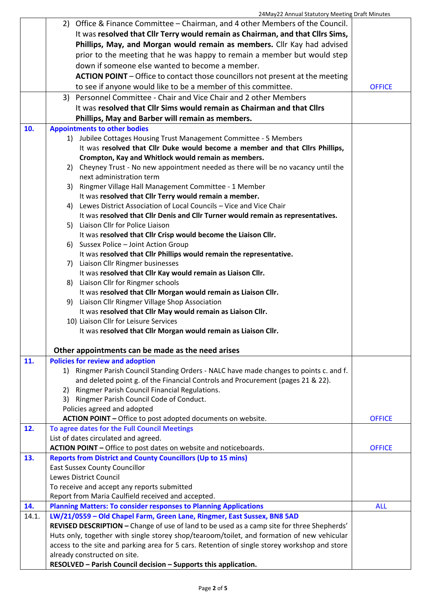|       | 2) Office & Finance Committee – Chairman, and 4 other Members of the Council.                             |               |
|-------|-----------------------------------------------------------------------------------------------------------|---------------|
|       | It was resolved that Cllr Terry would remain as Chairman, and that Cllrs Sims,                            |               |
|       | Phillips, May, and Morgan would remain as members. Cllr Kay had advised                                   |               |
|       | prior to the meeting that he was happy to remain a member but would step                                  |               |
|       | down if someone else wanted to become a member.                                                           |               |
|       | ACTION POINT - Office to contact those councillors not present at the meeting                             |               |
|       | to see if anyone would like to be a member of this committee.                                             | <b>OFFICE</b> |
|       | 3) Personnel Committee - Chair and Vice Chair and 2 other Members                                         |               |
|       | It was resolved that Cllr Sims would remain as Chairman and that Cllrs                                    |               |
|       | Phillips, May and Barber will remain as members.                                                          |               |
| 10.   |                                                                                                           |               |
|       | <b>Appointments to other bodies</b><br>1) Jubilee Cottages Housing Trust Management Committee - 5 Members |               |
|       | It was resolved that Cllr Duke would become a member and that Cllrs Phillips,                             |               |
|       | Crompton, Kay and Whitlock would remain as members.                                                       |               |
|       | 2) Cheyney Trust - No new appointment needed as there will be no vacancy until the                        |               |
|       | next administration term                                                                                  |               |
|       | 3) Ringmer Village Hall Management Committee - 1 Member                                                   |               |
|       | It was resolved that Cllr Terry would remain a member.                                                    |               |
|       | 4) Lewes District Association of Local Councils - Vice and Vice Chair                                     |               |
|       | It was resolved that Cllr Denis and Cllr Turner would remain as representatives.                          |               |
|       | 5) Liaison Cllr for Police Liaison                                                                        |               |
|       | It was resolved that Cllr Crisp would become the Liaison Cllr.                                            |               |
|       | 6) Sussex Police - Joint Action Group                                                                     |               |
|       | It was resolved that Cllr Phillips would remain the representative.                                       |               |
|       | 7) Liaison Cllr Ringmer businesses                                                                        |               |
|       | It was resolved that Cllr Kay would remain as Liaison Cllr.                                               |               |
|       | 8) Liaison Cllr for Ringmer schools                                                                       |               |
|       | It was resolved that Cllr Morgan would remain as Liaison Cllr.                                            |               |
|       | 9) Liaison Cllr Ringmer Village Shop Association                                                          |               |
|       | It was resolved that Cllr May would remain as Liaison Cllr.                                               |               |
|       | 10) Liaison Cllr for Leisure Services                                                                     |               |
|       | It was resolved that Cllr Morgan would remain as Liaison Cllr.                                            |               |
|       | Other appointments can be made as the need arises                                                         |               |
| 11.   | <b>Policies for review and adoption</b>                                                                   |               |
|       | 1) Ringmer Parish Council Standing Orders - NALC have made changes to points c. and f.                    |               |
|       | and deleted point g. of the Financial Controls and Procurement (pages 21 & 22).                           |               |
|       | 2) Ringmer Parish Council Financial Regulations.                                                          |               |
|       | 3) Ringmer Parish Council Code of Conduct.                                                                |               |
|       | Policies agreed and adopted                                                                               |               |
|       | ACTION POINT - Office to post adopted documents on website.                                               | <b>OFFICE</b> |
| 12.   | To agree dates for the Full Council Meetings                                                              |               |
|       | List of dates circulated and agreed.                                                                      |               |
|       | ACTION POINT - Office to post dates on website and noticeboards.                                          | <b>OFFICE</b> |
| 13.   | <b>Reports from District and County Councillors (Up to 15 mins)</b>                                       |               |
|       | <b>East Sussex County Councillor</b>                                                                      |               |
|       | Lewes District Council                                                                                    |               |
|       | To receive and accept any reports submitted                                                               |               |
|       | Report from Maria Caulfield received and accepted.                                                        |               |
| 14.   | <b>Planning Matters: To consider responses to Planning Applications</b>                                   | <b>ALL</b>    |
| 14.1. | LW/21/0559 - Old Chapel Farm, Green Lane, Ringmer, East Sussex, BN8 5AD                                   |               |
|       | REVISED DESCRIPTION - Change of use of land to be used as a camp site for three Shepherds'                |               |
|       | Huts only, together with single storey shop/tearoom/toilet, and formation of new vehicular                |               |
|       | access to the site and parking area for 5 cars. Retention of single storey workshop and store             |               |
|       | already constructed on site.                                                                              |               |
|       | RESOLVED - Parish Council decision - Supports this application.                                           |               |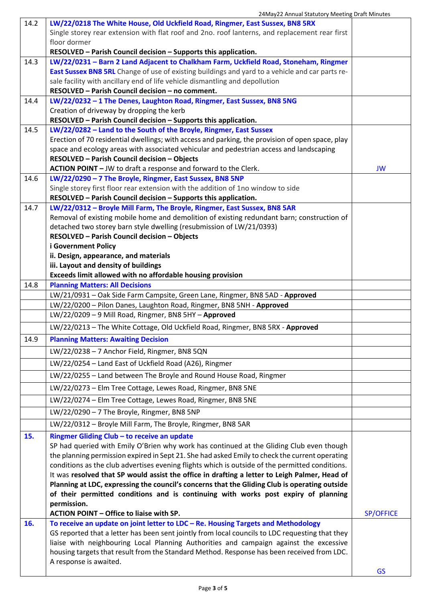|      | 24May22 Annual Statutory Meeting Draft Minutes                                                                                                                         |                  |
|------|------------------------------------------------------------------------------------------------------------------------------------------------------------------------|------------------|
| 14.2 | LW/22/0218 The White House, Old Uckfield Road, Ringmer, East Sussex, BN8 5RX                                                                                           |                  |
|      | Single storey rear extension with flat roof and 2no. roof lanterns, and replacement rear first                                                                         |                  |
|      | floor dormer                                                                                                                                                           |                  |
|      | RESOLVED - Parish Council decision - Supports this application.                                                                                                        |                  |
| 14.3 | LW/22/0231 - Barn 2 Land Adjacent to Chalkham Farm, Uckfield Road, Stoneham, Ringmer                                                                                   |                  |
|      | East Sussex BN8 5RL Change of use of existing buildings and yard to a vehicle and car parts re-                                                                        |                  |
|      | sale facility with ancillary end of life vehicle dismantling and depollution                                                                                           |                  |
|      | RESOLVED - Parish Council decision - no comment.                                                                                                                       |                  |
| 14.4 | LW/22/0232 - 1 The Denes, Laughton Road, Ringmer, East Sussex, BN8 5NG                                                                                                 |                  |
|      | Creation of driveway by dropping the kerb                                                                                                                              |                  |
|      | RESOLVED - Parish Council decision - Supports this application.                                                                                                        |                  |
| 14.5 | LW/22/0282 - Land to the South of the Broyle, Ringmer, East Sussex                                                                                                     |                  |
|      | Erection of 70 residential dwellings; with access and parking, the provision of open space, play                                                                       |                  |
|      | space and ecology areas with associated vehicular and pedestrian access and landscaping                                                                                |                  |
|      | RESOLVED - Parish Council decision - Objects                                                                                                                           |                  |
|      | ACTION POINT - JW to draft a response and forward to the Clerk.                                                                                                        | JW               |
| 14.6 | LW/22/0290 - 7 The Broyle, Ringmer, East Sussex, BN8 5NP                                                                                                               |                  |
|      | Single storey first floor rear extension with the addition of 1no window to side                                                                                       |                  |
| 14.7 | RESOLVED - Parish Council decision - Supports this application.                                                                                                        |                  |
|      | LW/22/0312 - Broyle Mill Farm, The Broyle, Ringmer, East Sussex, BN8 5AR<br>Removal of existing mobile home and demolition of existing redundant barn; construction of |                  |
|      | detached two storey barn style dwelling (resubmission of LW/21/0393)                                                                                                   |                  |
|      | RESOLVED - Parish Council decision - Objects                                                                                                                           |                  |
|      | <b>i Government Policy</b>                                                                                                                                             |                  |
|      | ii. Design, appearance, and materials                                                                                                                                  |                  |
|      | iii. Layout and density of buildings                                                                                                                                   |                  |
|      | Exceeds limit allowed with no affordable housing provision                                                                                                             |                  |
| 14.8 | <b>Planning Matters: All Decisions</b>                                                                                                                                 |                  |
|      | LW/21/0931 - Oak Side Farm Campsite, Green Lane, Ringmer, BN8 5AD - Approved                                                                                           |                  |
|      | LW/22/0200 - Pilon Danes, Laughton Road, Ringmer, BN8 5NH - Approved                                                                                                   |                  |
|      | LW/22/0209 - 9 Mill Road, Ringmer, BN8 5HY - Approved                                                                                                                  |                  |
|      | LW/22/0213 - The White Cottage, Old Uckfield Road, Ringmer, BN8 5RX - Approved                                                                                         |                  |
| 14.9 | <b>Planning Matters: Awaiting Decision</b>                                                                                                                             |                  |
|      | LW/22/0238 - 7 Anchor Field, Ringmer, BN8 5QN                                                                                                                          |                  |
|      | LW/22/0254 - Land East of Uckfield Road (A26), Ringmer                                                                                                                 |                  |
|      | LW/22/0255 - Land between The Broyle and Round House Road, Ringmer                                                                                                     |                  |
|      | LW/22/0273 - Elm Tree Cottage, Lewes Road, Ringmer, BN8 5NE                                                                                                            |                  |
|      | LW/22/0274 - Elm Tree Cottage, Lewes Road, Ringmer, BN8 5NE                                                                                                            |                  |
|      | LW/22/0290 - 7 The Broyle, Ringmer, BN8 5NP                                                                                                                            |                  |
|      | LW/22/0312 - Broyle Mill Farm, The Broyle, Ringmer, BN8 5AR                                                                                                            |                  |
| 15.  | Ringmer Gliding Club - to receive an update                                                                                                                            |                  |
|      | SP had queried with Emily O'Brien why work has continued at the Gliding Club even though                                                                               |                  |
|      | the planning permission expired in Sept 21. She had asked Emily to check the current operating                                                                         |                  |
|      | conditions as the club advertises evening flights which is outside of the permitted conditions.                                                                        |                  |
|      | It was resolved that SP would assist the office in drafting a letter to Leigh Palmer, Head of                                                                          |                  |
|      | Planning at LDC, expressing the council's concerns that the Gliding Club is operating outside                                                                          |                  |
|      | of their permitted conditions and is continuing with works post expiry of planning                                                                                     |                  |
|      | permission.                                                                                                                                                            |                  |
|      | ACTION POINT - Office to liaise with SP.                                                                                                                               | <b>SP/OFFICE</b> |
| 16.  | To receive an update on joint letter to LDC - Re. Housing Targets and Methodology                                                                                      |                  |
|      | GS reported that a letter has been sent jointly from local councils to LDC requesting that they                                                                        |                  |
|      | liaise with neighbouring Local Planning Authorities and campaign against the excessive                                                                                 |                  |
|      | housing targets that result from the Standard Method. Response has been received from LDC.                                                                             |                  |
|      | A response is awaited.                                                                                                                                                 |                  |
|      |                                                                                                                                                                        | <b>GS</b>        |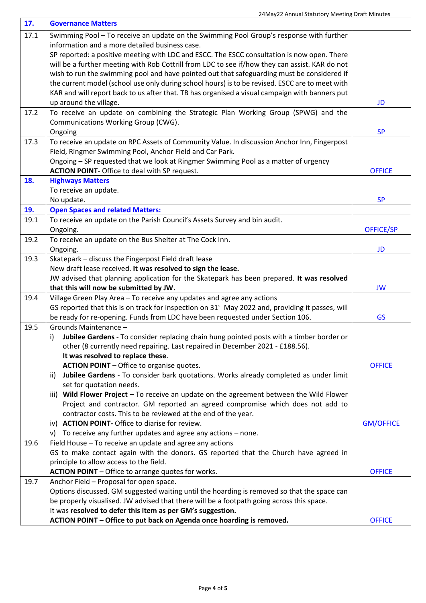| 17.  | <b>Governance Matters</b>                                                                                          |                  |
|------|--------------------------------------------------------------------------------------------------------------------|------------------|
| 17.1 | Swimming Pool - To receive an update on the Swimming Pool Group's response with further                            |                  |
|      | information and a more detailed business case.                                                                     |                  |
|      | SP reported: a positive meeting with LDC and ESCC. The ESCC consultation is now open. There                        |                  |
|      | will be a further meeting with Rob Cottrill from LDC to see if/how they can assist. KAR do not                     |                  |
|      | wish to run the swimming pool and have pointed out that safeguarding must be considered if                         |                  |
|      | the current model (school use only during school hours) is to be revised. ESCC are to meet with                    |                  |
|      | KAR and will report back to us after that. TB has organised a visual campaign with banners put                     |                  |
|      | up around the village.                                                                                             | <b>JD</b>        |
| 17.2 | To receive an update on combining the Strategic Plan Working Group (SPWG) and the                                  |                  |
|      | Communications Working Group (CWG).                                                                                |                  |
|      | Ongoing                                                                                                            | <b>SP</b>        |
| 17.3 | To receive an update on RPC Assets of Community Value. In discussion Anchor Inn, Fingerpost                        |                  |
|      | Field, Ringmer Swimming Pool, Anchor Field and Car Park.                                                           |                  |
|      | Ongoing - SP requested that we look at Ringmer Swimming Pool as a matter of urgency                                |                  |
|      | <b>ACTION POINT- Office to deal with SP request.</b>                                                               | <b>OFFICE</b>    |
| 18.  | <b>Highways Matters</b>                                                                                            |                  |
|      | To receive an update.                                                                                              |                  |
|      | No update.                                                                                                         | <b>SP</b>        |
| 19.  | <b>Open Spaces and related Matters:</b>                                                                            |                  |
| 19.1 | To receive an update on the Parish Council's Assets Survey and bin audit.                                          |                  |
|      | Ongoing.                                                                                                           | <b>OFFICE/SP</b> |
| 19.2 | To receive an update on the Bus Shelter at The Cock Inn.                                                           |                  |
|      | Ongoing.                                                                                                           | JD               |
| 19.3 | Skatepark - discuss the Fingerpost Field draft lease                                                               |                  |
|      | New draft lease received. It was resolved to sign the lease.                                                       |                  |
|      | JW advised that planning application for the Skatepark has been prepared. It was resolved                          |                  |
|      | that this will now be submitted by JW.                                                                             | <b>JW</b>        |
| 19.4 | Village Green Play Area - To receive any updates and agree any actions                                             |                  |
|      | GS reported that this is on track for inspection on 31 <sup>st</sup> May 2022 and, providing it passes, will       |                  |
|      | be ready for re-opening. Funds from LDC have been requested under Section 106.                                     | <b>GS</b>        |
| 19.5 | Grounds Maintenance -                                                                                              |                  |
|      | Jubilee Gardens - To consider replacing chain hung pointed posts with a timber border or<br>i)                     |                  |
|      | other (8 currently need repairing. Last repaired in December 2021 - £188.56).<br>It was resolved to replace these. |                  |
|      | <b>ACTION POINT</b> - Office to organise quotes.                                                                   | <b>OFFICE</b>    |
|      | Jubilee Gardens - To consider bark quotations. Works already completed as under limit                              |                  |
|      | ii)<br>set for quotation needs.                                                                                    |                  |
|      | iii) Wild Flower Project - To receive an update on the agreement between the Wild Flower                           |                  |
|      | Project and contractor. GM reported an agreed compromise which does not add to                                     |                  |
|      | contractor costs. This to be reviewed at the end of the year.                                                      |                  |
|      | iv) ACTION POINT- Office to diarise for review.                                                                    | <b>GM/OFFICE</b> |
|      | To receive any further updates and agree any actions - none.<br>V)                                                 |                  |
| 19.6 | Field House - To receive an update and agree any actions                                                           |                  |
|      | GS to make contact again with the donors. GS reported that the Church have agreed in                               |                  |
|      | principle to allow access to the field.                                                                            |                  |
|      | <b>ACTION POINT</b> - Office to arrange quotes for works.                                                          | <b>OFFICE</b>    |
| 19.7 | Anchor Field - Proposal for open space.                                                                            |                  |
|      | Options discussed. GM suggested waiting until the hoarding is removed so that the space can                        |                  |
|      | be properly visualised. JW advised that there will be a footpath going across this space.                          |                  |
|      | It was resolved to defer this item as per GM's suggestion.                                                         |                  |
|      | ACTION POINT - Office to put back on Agenda once hoarding is removed.                                              | <b>OFFICE</b>    |